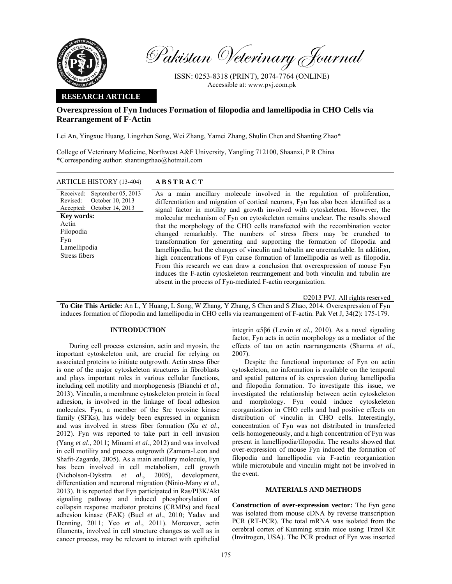

Pakistan Veterinary Journal

ISSN: 0253-8318 (PRINT), 2074-7764 (ONLINE) Accessible at: www.pvj.com.pk

# **RESEARCH ARTICLE**

# **Overexpression of Fyn Induces Formation of filopodia and lamellipodia in CHO Cells via Rearrangement of F-Actin**

Lei An, Yingxue Huang, Lingzhen Song, Wei Zhang, Yamei Zhang, Shulin Chen and Shanting Zhao\*

College of Veterinary Medicine, Northwest A&F University, Yangling 712100, Shaanxi, P R China \*Corresponding author: shantingzhao@hotmail.com

# ARTICLE HISTORY (13-404) **ABSTRACT**

Received: Revised: Accepted: September 05, 2013 October 10, 2013 October 14, 2013 **Key words:**  Actin Filopodia Fyn Lamellipodia Stress fibers

 As a main ancillary molecule involved in the regulation of proliferation, differentiation and migration of cortical neurons, Fyn has also been identified as a signal factor in motility and growth involved with cytoskeleton. However, the molecular mechanism of Fyn on cytoskeleton remains unclear. The results showed that the morphology of the CHO cells transfected with the recombination vector changed remarkably. The numbers of stress fibers may be crunched to transformation for generating and supporting the formation of filopodia and lamellipodia, but the changes of vinculin and tubulin are unremarkable. In addition, high concentrations of Fyn cause formation of lamellipodia as well as filopodia. From this research we can draw a conclusion that overexpression of mouse Fyn induces the F-actin cytoskeleton rearrangement and both vinculin and tubulin are absent in the process of Fyn-mediated F-actin reorganization.

©2013 PVJ. All rights reserved

**To Cite This Article:** An L, Y Huang, L Song, W Zhang, Y Zhang, S Chen and S Zhao, 2014. Overexpression of Fyn induces formation of filopodia and lamellipodia in CHO cells via rearrangement of F-actin. Pak Vet J, 34(2): 175-179.

## **INTRODUCTION**

During cell process extension, actin and myosin, the important cytoskeleton unit, are crucial for relying on associated proteins to initiate outgrowth. Actin stress fiber is one of the major cytoskeleton structures in fibroblasts and plays important roles in various cellular functions, including cell motility and morphogenesis (Bianchi *et al*., 2013). Vinculin, a membrane cytoskeleton protein in focal adhesion, is involved in the linkage of focal adhesion molecules. Fyn, a member of the Src tyrosine kinase family (SFKs), has widely been expressed in organism and was involved in stress fiber formation (Xu *et al*., 2012). Fyn was reported to take part in cell invasion (Yang *et al*., 2011; Minami *et al*., 2012) and was involved in cell motility and process outgrowth (Zamora-Leon and Shafit-Zagardo, 2005). As a main ancillary molecule, Fyn has been involved in cell metabolism, cell growth (Nicholson-Dykstra *et al*., 2005), development, differentiation and neuronal migration (Ninio-Many *et al*., 2013). It is reported that Fyn participated in Ras/PI3K/Akt signaling pathway and induced phosphorylation of collapsin response mediator proteins (CRMPs) and focal adhesion kinase (FAK) (Buel *et al*., 2010; Yadav and Denning, 2011; Yeo *et al*., 2011). Moreover, actin filaments, involved in cell structure changes as well as in cancer process, may be relevant to interact with epithelial

integrin α5β6 (Lewin *et al*., 2010). As a novel signaling factor, Fyn acts in actin morphology as a mediator of the effects of tau on actin rearrangements (Sharma *et al*., 2007).

Despite the functional importance of Fyn on actin cytoskeleton, no information is available on the temporal and spatial patterns of its expression during lamellipodia and filopodia formation. To investigate this issue, we investigated the relationship between actin cytoskeleton and morphology. Fyn could induce cytoskeleton reorganization in CHO cells and had positive effects on distribution of vinculin in CHO cells. Interestingly, concentration of Fyn was not distributed in transfected cells homogeneously, and a high concentration of Fyn was present in lamellipodia/filopodia. The results showed that over-expression of mouse Fyn induced the formation of filopodia and lamellipodia via F-actin reorganization while microtubule and vinculin might not be involved in the event.

#### **MATERIALS AND METHODS**

**Construction of over-expression vector:** The Fyn gene was isolated from mouse cDNA by reverse transcription PCR (RT-PCR). The total mRNA was isolated from the cerebral cortex of Kunming strain mice using Trizol Kit (Invitrogen, USA). The PCR product of Fyn was inserted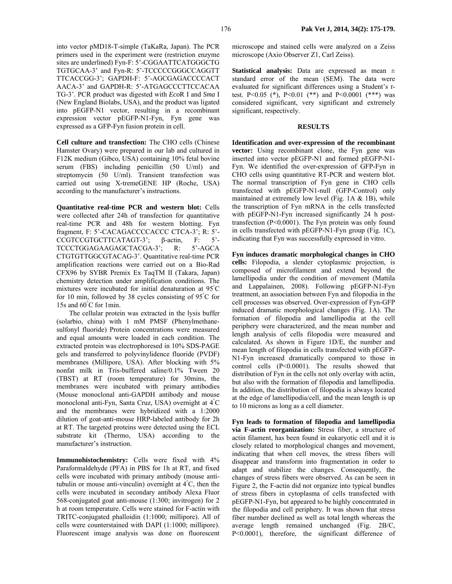into vector pMD18-T-simple (TaKaRa, Japan). The PCR primers used in the experiment were (restriction enzyme sites are underlined) Fyn-F: 5'-CGGAATTCATGGGCTG TGTGCAA-3' and Fyn-R: 5'-TCCCCCGGGCCAGGTT TTCACCGG-3'; GAPDH-F: 5'-AGCGAGACCCCACT AACA-3' and GAPDH-R: 5'-ATGAGCCCTTCCACAA TG-3'. PCR product was digested with *Eco*R I and *Sma* I (New England Biolabs, USA), and the product was ligated into pEGFP-N1 vector, resulting in a recombinant expression vector pEGFP-N1-Fyn, Fyn gene was expressed as a GFP-Fyn fusion protein in cell.

**Cell culture and transfection:** The CHO cells (Chinese Hamster Ovary) were prepared in our lab and cultured in F12K medium (Gibco, USA) containing 10% fetal bovine serum (FBS) including penicillin (50 U/ml) and streptomycin (50 U/ml). Transient transfection was carried out using X-tremeGENE HP (Roche, USA) according to the manufacturer's instructions.

**Quantitative real-time PCR and western blot:** Cells were collected after 24h of transfection for quantitative real-time PCR and 48h for western blotting. Fyn fragment, F: 5'-CACAGACCCCACCC CTCA-3'; R: 5'- CCGTCCGTGCTTCATAGT-3'; β-actin, F: 5'-TCCCTGGAGAAGAGCTACGA-3'; R: 5'-AGCA CTGTGTTGGCGTACAG-3'. Quantitative real-time PCR amplification reactions were carried out on a Bio-Rad CFX96 by SYBR Premix Ex TaqTM II (Takara, Japan) chemistry detection under amplification conditions. The mixtures were incubated for initial denaturation at 95° C for 10 min, followed by 38 cycles consisting of 95° C for 15s and 60° C for 1min.

The cellular protein was extracted in the lysis buffer (solarbio, china) with 1 mM PMSF (Phenylmethanesulfonyl fluoride) Protein concentrations were measured and equal amounts were loaded in each condition. The extracted protein was electrophoresed in 10% SDS-PAGE gels and transferred to polyvinylidence fluoride (PVDF) membranes (Millipore, USA). After blocking with 5% nonfat milk in Tris-buffered saline/0.1% Tween 20 (TBST) at RT (room temperature) for 30mins, the membranes were incubated with primary antibodies (Mouse monoclonal anti-GAPDH antibody and mouse monoclonal anti-Fyn, Santa Cruz, USA) overnight at 4° C and the membranes were hybridized with a 1:2000 dilution of goat-anti-mouse HRP-labeled antibody for 2h at RT. The targeted proteins were detected using the ECL substrate kit (Thermo, USA) according to the manufacturer's instruction.

**Immunohistochemistry:** Cells were fixed with 4% Paraformaldehyde (PFA) in PBS for 1h at RT, and fixed cells were incubated with primary antibody (mouse antitubulin or mouse anti-vinculin) overnight at 4° C, then the cells were incubated in secondary antibody Alexa Fluor 568-conjugated goat anti-mouse (1:300; invitrogen) for 2 h at room temperature. Cells were stained for F-actin with TRITC-conjugated phalloidin (1:1000; millipore). All of cells were counterstained with DAPI (1:1000; millipore). Fluorescent image analysis was done on fluorescent

microscope and stained cells were analyzed on a Zeiss microscope (Axio Observer Z1, Carl Zeiss).

**Statistical analysis:** Data are expressed as mean ± standard error of the mean (SEM). The data were evaluated for significant differences using a Student's *t*test. P<0.05 (\*), P<0.01 (\*\*) and P<0.0001 (\*\*\*) was considered significant, very significant and extremely significant, respectively.

#### **RESULTS**

**Identification and over-expression of the recombinant vector:** Using recombinant clone, the Fyn gene was inserted into vector pEGFP-N1 and formed pEGFP-N1- Fyn. We identified the over-expression of GFP-Fyn in CHO cells using quantitative RT-PCR and western blot. The normal transcription of Fyn gene in CHO cells transfected with pEGFP-N1-null (GFP-Control) only maintained at extremely low level (Fig. 1A & 1B), while the transcription of Fyn mRNA in the cells transfected with pEGFP-N1-Fyn increased significantly 24 h posttransfection (P<0.0001). The Fyn protein was only found in cells transfected with pEGFP-N1-Fyn group (Fig. 1C), indicating that Fyn was successfully expressed in vitro.

**Fyn induces dramatic morphological changes in CHO cells:** Filopodia, a slender cytoplasmic projection, is composed of microfilament and extend beyond the lamellipodia under the condition of movement (Mattila and Lappalainen, 2008). Following pEGFP-N1-Fyn treatment, an association between Fyn and filopodia in the cell processes was observed. Over-expression of Fyn-GFP induced dramatic morphological changes (Fig. 1A). The formation of filopodia and lamellipodia at the cell periphery were characterized, and the mean number and length analysis of cells filopodia were measured and calculated. As shown in Figure 1D/E, the number and mean length of filopodia in cells transfected with pEGFP-N1-Fyn increased dramatically compared to those in control cells (P<0.0001). The results showed that distribution of Fyn in the cells not only overlay with actin, but also with the formation of filopodia and lamellipodia. In addition, the distribution of filopodia is always located at the edge of lamellipodia/cell, and the mean length is up to 10 microns as long as a cell diameter.

**Fyn leads to formation of filopodia and lamellipodia via F-actin reorganization:** Stress fiber, a structure of actin filament, has been found in eukaryotic cell and it is closely related to morphological changes and movement, indicating that when cell moves, the stress fibers will disappear and transform into fragmentation in order to adapt and stabilize the changes. Consequently, the changes of stress fibers were observed. As can be seen in Figure 2, the F-actin did not organize into typical bundles of stress fibers in cytoplasma of cells transfected with pEGFP-N1-Fyn, but appeared to be highly concentrated in the filopodia and cell periphery. It was shown that stress fiber number declined as well as total length whereas the average length remained unchanged (Fig. 2B/C, P<0.0001), therefore, the significant difference of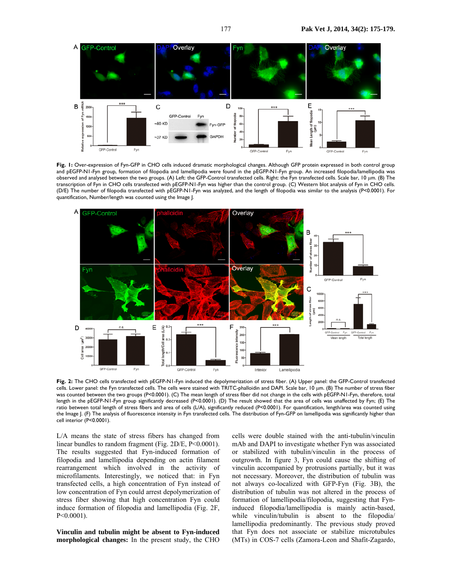

**Fig. 1:** Over-expression of Fyn-GFP in CHO cells induced dramatic morphological changes. Although GFP protein expressed in both control group and pEGFP-N1-Fyn group, formation of filopodia and lamellipodia were found in the pEGFP-N1-Fyn group. An increased filopodia/lamellipodia was observed and analysed between the two groups. (A) Left: the GFP-Control transfected cells. Right: the Fyn transfected cells. Scale bar, 10 µm. (B) The transcription of Fyn in CHO cells transfected with pEGFP-N1-Fyn was higher than the control group. (C) Western blot analysis of Fyn in CHO cells. (D/E) The number of filopodia transfected with pEGFP-N1-Fyn was analyzed, and the length of filopodia was similar to the analysis (P<0.0001). For quantification, Number/length was counted using the Image J.



**Fig. 2:** The CHO cells transfected with pEGFP-N1-Fyn induced the depolymerization of stress fiber. (A) Upper panel: the GFP-Control transfected cells. Lower panel: the Fyn transfected cells. The cells were stained with TRITC-phalloidin and DAPI. Scale bar, 10 µm. (B) The number of stress fiber was counted between the two groups (P<0.0001). (C) The mean length of stress fiber did not change in the cells with pEGFP-N1-Fyn, therefore, total length in the pEGFP-N1-Fyn group significantly decreased (P<0.0001). (D) The result showed that the area of cells was unaffected by Fyn; (E) The ratio between total length of stress fibers and area of cells (L/A), significantly reduced (P<0.0001). For quantification, length/area was counted using the Image J. (F) The analysis of fluorescence intensity in Fyn transfected cells. The distribution of Fyn-GFP on lamellipodia was significantly higher than cell interior (P<0.0001).

L/A means the state of stress fibers has changed from linear bundles to random fragment (Fig. 2D/E, P<0.0001). The results suggested that Fyn-induced formation of filopodia and lamellipodia depending on actin filament rearrangement which involved in the activity of microfilaments. Interestingly, we noticed that: in Fyn transfected cells, a high concentration of Fyn instead of low concentration of Fyn could arrest depolymerization of stress fiber showing that high concentration Fyn could induce formation of filopodia and lamellipodia (Fig. 2F, P<0.0001).

**Vinculin and tubulin might be absent to Fyn-induced morphological changes:** In the present study, the CHO

cells were double stained with the anti-tubulin/vinculin mAb and DAPI to investigate whether Fyn was associated or stabilized with tubulin/vinculin in the process of outgrowth. In figure 3, Fyn could cause the shifting of vinculin accompanied by protrusions partially, but it was not necessary. Moreover, the distribution of tubulin was not always co-localized with GFP-Fyn (Fig. 3B), the distribution of tubulin was not altered in the process of formation of lamellipodia/filopodia, suggesting that Fyninduced filopodia/lamellipodia is mainly actin-based, while vinculin/tubulin is absent to the filopodia/ lamellipodia predominantly. The previous study proved that Fyn does not associate or stabilize microtubules (MTs) in COS-7 cells (Zamora-Leon and Shafit-Zagardo,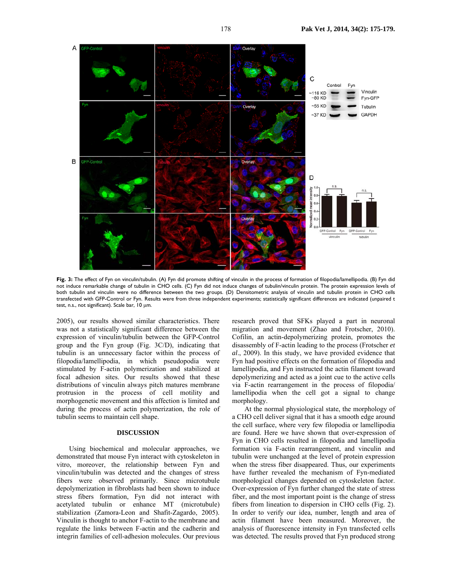

**Fig. 3:** The effect of Fyn on vinculin/tubulin. (A) Fyn did promote shifting of vinculin in the process of formation of filopodia/lamellipodia. (B) Fyn did not induce remarkable change of tubulin in CHO cells. (C) Fyn did not induce changes of tubulin/vinculin protein. The protein expression levels of both tubulin and vinculin were no difference between the two groups. (D) Densitometric analysis of vinculin and tubulin protein in CHO cells transfected with GFP-Control or Fyn. Results were from three independent experiments; statistically significant differences are indicated (unpaired t test, n.s., not significant). Scale bar, 10 µm.

2005), our results showed similar characteristics. There was not a statistically significant difference between the expression of vinculin/tubulin between the GFP-Control group and the Fyn group (Fig. 3C/D), indicating that tubulin is an unnecessary factor within the process of filopodia/lamellipodia, in which pseudopodia were stimulated by F-actin polymerization and stabilized at focal adhesion sites. Our results showed that these distributions of vinculin always pitch matures membrane protrusion in the process of cell motility and morphogenetic movement and this affection is limited and during the process of actin polymerization, the role of tubulin seems to maintain cell shape.

## **DISCUSSION**

Using biochemical and molecular approaches, we demonstrated that mouse Fyn interact with cytoskeleton in vitro, moreover, the relationship between Fyn and vinculin/tubulin was detected and the changes of stress fibers were observed primarily. Since microtubule depolymerization in fibroblasts had been shown to induce stress fibers formation, Fyn did not interact with acetylated tubulin or enhance MT (microtubule) stabilization (Zamora-Leon and Shafit-Zagardo, 2005). Vinculin is thought to anchor F-actin to the membrane and regulate the links between F-actin and the cadherin and integrin families of cell-adhesion molecules. Our previous

research proved that SFKs played a part in neuronal migration and movement (Zhao and Frotscher, 2010). Cofilin, an actin-depolymerizing protein, promotes the disassembly of F-actin leading to the process (Frotscher *et al*., 2009). In this study, we have provided evidence that Fyn had positive effects on the formation of filopodia and lamellipodia, and Fyn instructed the actin filament toward depolymerizing and acted as a joint cue to the active cells via F-actin rearrangement in the process of filopodia/ lamellipodia when the cell got a signal to change morphology.

At the normal physiological state, the morphology of a CHO cell deliver signal that it has a smooth edge around the cell surface, where very few filopodia or lamellipodia are found. Here we have shown that over-expression of Fyn in CHO cells resulted in filopodia and lamellipodia formation via F-actin rearrangement, and vinculin and tubulin were unchanged at the level of protein expression when the stress fiber disappeared. Thus, our experiments have further revealed the mechanism of Fyn-mediated morphological changes depended on cytoskeleton factor. Over-expression of Fyn further changed the state of stress fiber, and the most important point is the change of stress fibers from lineation to dispersion in CHO cells (Fig. 2). In order to verify our idea, number, length and area of actin filament have been measured. Moreover, the analysis of fluorescence intensity in Fyn transfected cells was detected. The results proved that Fyn produced strong